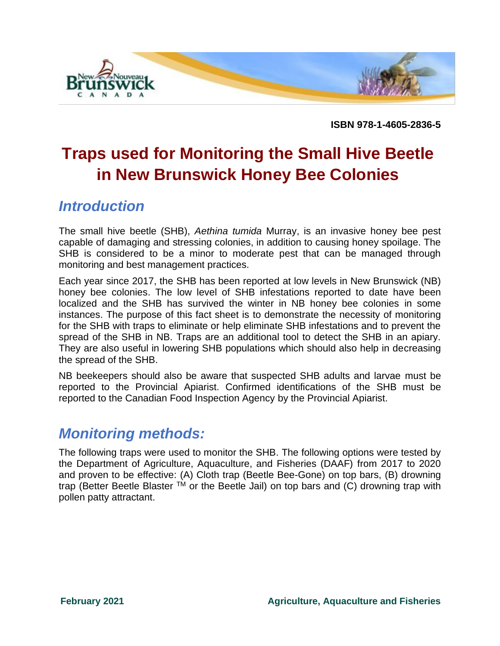

**ISBN 978-1-4605-2836-5**

# **Traps used for Monitoring the Small Hive Beetle in New Brunswick Honey Bee Colonies**

### *Introduction*

The small hive beetle (SHB), *Aethina tumida* Murray, is an invasive honey bee pest capable of damaging and stressing colonies, in addition to causing honey spoilage. The SHB is considered to be a minor to moderate pest that can be managed through monitoring and best management practices.

Each year since 2017, the SHB has been reported at low levels in New Brunswick (NB) honey bee colonies. The low level of SHB infestations reported to date have been localized and the SHB has survived the winter in NB honey bee colonies in some instances. The purpose of this fact sheet is to demonstrate the necessity of monitoring for the SHB with traps to eliminate or help eliminate SHB infestations and to prevent the spread of the SHB in NB. Traps are an additional tool to detect the SHB in an apiary. They are also useful in lowering SHB populations which should also help in decreasing the spread of the SHB.

NB beekeepers should also be aware that suspected SHB adults and larvae must be reported to the Provincial Apiarist. Confirmed identifications of the SHB must be reported to the Canadian Food Inspection Agency by the Provincial Apiarist.

### *Monitoring methods:*

The following traps were used to monitor the SHB. The following options were tested by the Department of Agriculture, Aquaculture, and Fisheries (DAAF) from 2017 to 2020 and proven to be effective: (A) Cloth trap (Beetle Bee-Gone) on top bars, (B) drowning trap (Better Beetle Blaster  $TM$  or the Beetle Jail) on top bars and (C) drowning trap with pollen patty attractant.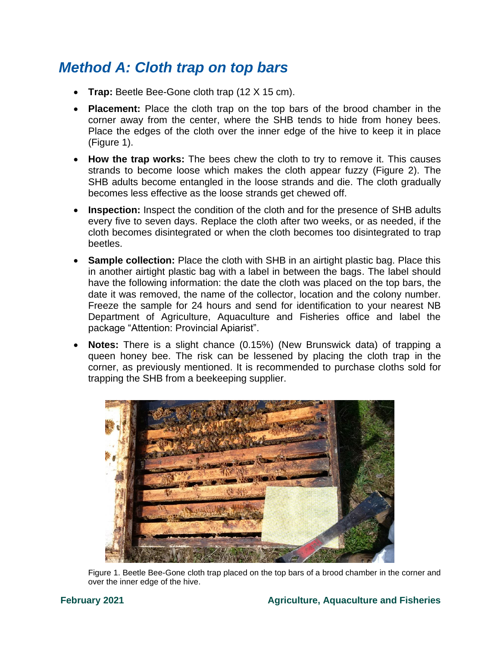## *Method A: Cloth trap on top bars*

- **Trap:** Beetle Bee-Gone cloth trap (12 X 15 cm).
- **Placement:** Place the cloth trap on the top bars of the brood chamber in the corner away from the center, where the SHB tends to hide from honey bees. Place the edges of the cloth over the inner edge of the hive to keep it in place (Figure 1).
- **How the trap works:** The bees chew the cloth to try to remove it. This causes strands to become loose which makes the cloth appear fuzzy (Figure 2). The SHB adults become entangled in the loose strands and die. The cloth gradually becomes less effective as the loose strands get chewed off.
- **Inspection:** Inspect the condition of the cloth and for the presence of SHB adults every five to seven days. Replace the cloth after two weeks, or as needed, if the cloth becomes disintegrated or when the cloth becomes too disintegrated to trap beetles.
- **Sample collection:** Place the cloth with SHB in an airtight plastic bag. Place this in another airtight plastic bag with a label in between the bags. The label should have the following information: the date the cloth was placed on the top bars, the date it was removed, the name of the collector, location and the colony number. Freeze the sample for 24 hours and send for identification to your nearest NB Department of Agriculture, Aquaculture and Fisheries office and label the package "Attention: Provincial Apiarist".
- **Notes:** There is a slight chance (0.15%) (New Brunswick data) of trapping a queen honey bee. The risk can be lessened by placing the cloth trap in the corner, as previously mentioned. It is recommended to purchase cloths sold for trapping the SHB from a beekeeping supplier.



Figure 1. Beetle Bee-Gone cloth trap placed on the top bars of a brood chamber in the corner and over the inner edge of the hive.

### **February 2021 Agriculture, Aquaculture and Fisheries**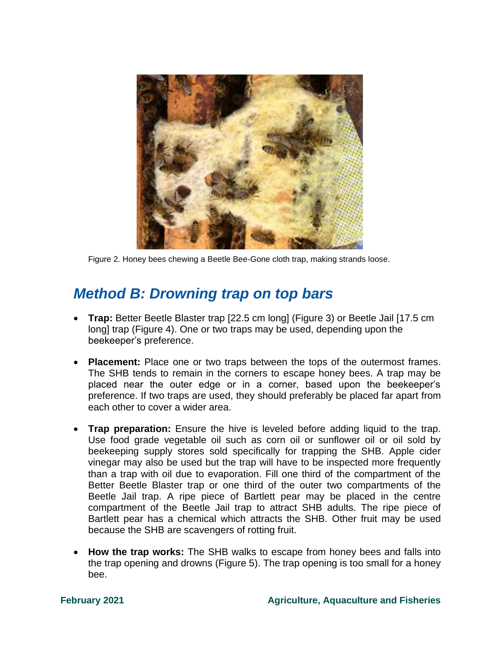

Figure 2. Honey bees chewing a Beetle Bee-Gone cloth trap, making strands loose.

### *Method B: Drowning trap on top bars*

- **Trap:** Better Beetle Blaster trap [22.5 cm long] (Figure 3) or Beetle Jail [17.5 cm long] trap (Figure 4). One or two traps may be used, depending upon the beekeeper's preference.
- **Placement:** Place one or two traps between the tops of the outermost frames. The SHB tends to remain in the corners to escape honey bees. A trap may be placed near the outer edge or in a corner, based upon the beekeeper's preference. If two traps are used, they should preferably be placed far apart from each other to cover a wider area.
- **Trap preparation:** Ensure the hive is leveled before adding liquid to the trap. Use food grade vegetable oil such as corn oil or sunflower oil or oil sold by beekeeping supply stores sold specifically for trapping the SHB. Apple cider vinegar may also be used but the trap will have to be inspected more frequently than a trap with oil due to evaporation. Fill one third of the compartment of the Better Beetle Blaster trap or one third of the outer two compartments of the Beetle Jail trap. A ripe piece of Bartlett pear may be placed in the centre compartment of the Beetle Jail trap to attract SHB adults. The ripe piece of Bartlett pear has a chemical which attracts the SHB. Other fruit may be used because the SHB are scavengers of rotting fruit.
- **How the trap works:** The SHB walks to escape from honey bees and falls into the trap opening and drowns (Figure 5). The trap opening is too small for a honey bee.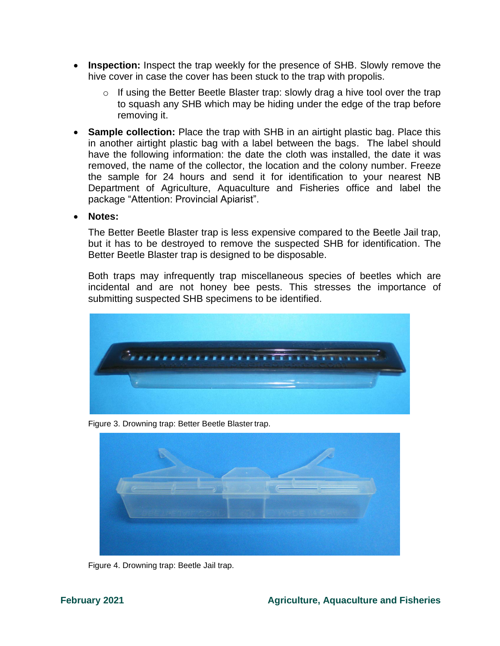- **Inspection:** Inspect the trap weekly for the presence of SHB. Slowly remove the hive cover in case the cover has been stuck to the trap with propolis.
	- o If using the Better Beetle Blaster trap: slowly drag a hive tool over the trap to squash any SHB which may be hiding under the edge of the trap before removing it.
- **Sample collection:** Place the trap with SHB in an airtight plastic bag. Place this in another airtight plastic bag with a label between the bags. The label should have the following information: the date the cloth was installed, the date it was removed, the name of the collector, the location and the colony number. Freeze the sample for 24 hours and send it for identification to your nearest NB Department of Agriculture, Aquaculture and Fisheries office and label the package "Attention: Provincial Apiarist".
- **Notes:**

The Better Beetle Blaster trap is less expensive compared to the Beetle Jail trap, but it has to be destroyed to remove the suspected SHB for identification. The Better Beetle Blaster trap is designed to be disposable.

Both traps may infrequently trap miscellaneous species of beetles which are incidental and are not honey bee pests. This stresses the importance of submitting suspected SHB specimens to be identified.



Figure 3. Drowning trap: Better Beetle Blaster trap.



Figure 4. Drowning trap: Beetle Jail trap.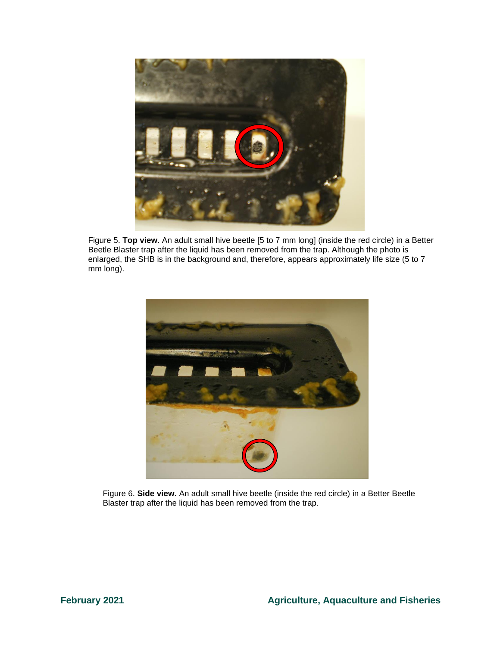

Figure 5. **Top view**. An adult small hive beetle [5 to 7 mm long] (inside the red circle) in a Better Beetle Blaster trap after the liquid has been removed from the trap. Although the photo is enlarged, the SHB is in the background and, therefore, appears approximately life size (5 to 7 mm long).



Figure 6. **Side view.** An adult small hive beetle (inside the red circle) in a Better Beetle Blaster trap after the liquid has been removed from the trap.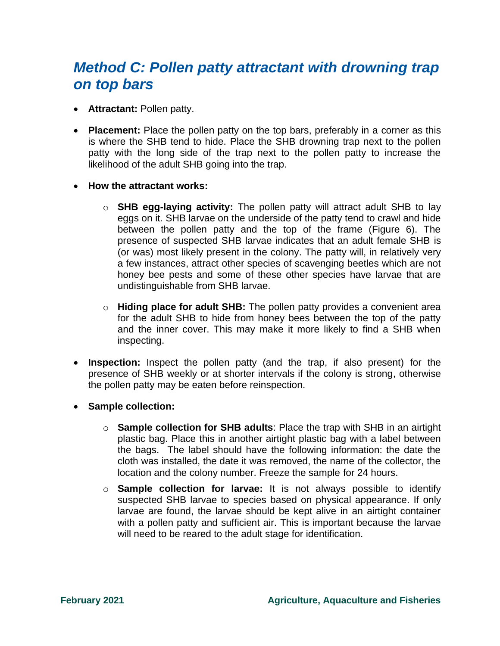## *Method C: Pollen patty attractant with drowning trap on top bars*

- **Attractant:** Pollen patty.
- **Placement:** Place the pollen patty on the top bars, preferably in a corner as this is where the SHB tend to hide. Place the SHB drowning trap next to the pollen patty with the long side of the trap next to the pollen patty to increase the likelihood of the adult SHB going into the trap.
- **How the attractant works:** 
	- o **SHB egg-laying activity:** The pollen patty will attract adult SHB to lay eggs on it. SHB larvae on the underside of the patty tend to crawl and hide between the pollen patty and the top of the frame (Figure 6). The presence of suspected SHB larvae indicates that an adult female SHB is (or was) most likely present in the colony. The patty will, in relatively very a few instances, attract other species of scavenging beetles which are not honey bee pests and some of these other species have larvae that are undistinguishable from SHB larvae.
	- o **Hiding place for adult SHB:** The pollen patty provides a convenient area for the adult SHB to hide from honey bees between the top of the patty and the inner cover. This may make it more likely to find a SHB when inspecting.
- **Inspection:** Inspect the pollen patty (and the trap, if also present) for the presence of SHB weekly or at shorter intervals if the colony is strong, otherwise the pollen patty may be eaten before reinspection.
- **Sample collection:**
	- o **Sample collection for SHB adults**: Place the trap with SHB in an airtight plastic bag. Place this in another airtight plastic bag with a label between the bags. The label should have the following information: the date the cloth was installed, the date it was removed, the name of the collector, the location and the colony number. Freeze the sample for 24 hours.
	- o **Sample collection for larvae:** It is not always possible to identify suspected SHB larvae to species based on physical appearance. If only larvae are found, the larvae should be kept alive in an airtight container with a pollen patty and sufficient air. This is important because the larvae will need to be reared to the adult stage for identification.